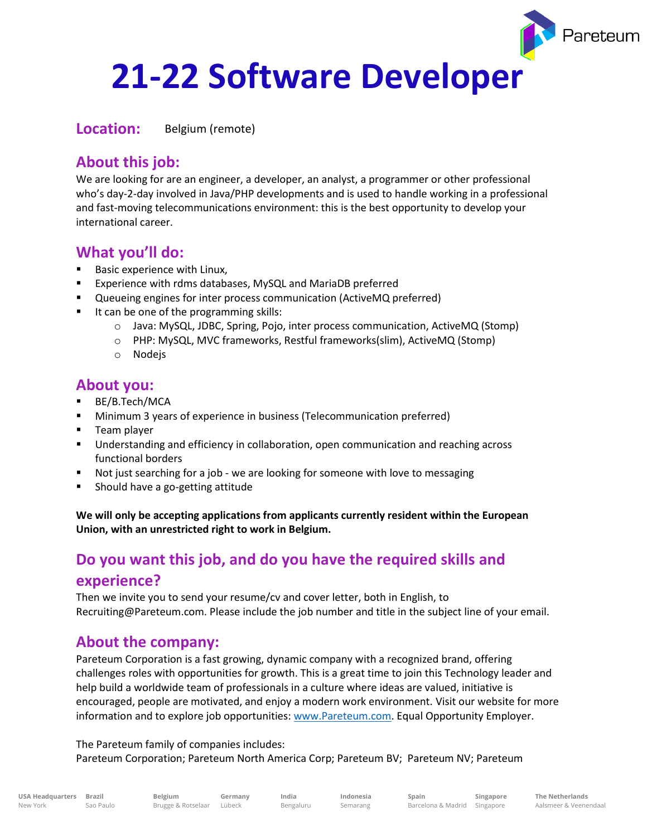# **21-22 Software Developer**

**Location:** Belgium (remote)

## **About this job:**

We are looking for are an engineer, a developer, an analyst, a programmer or other professional who's day-2-day involved in Java/PHP developments and is used to handle working in a professional and fast-moving telecommunications environment: this is the best opportunity to develop your international career.

## **What you'll do:**

- Basic experience with Linux,
- Experience with rdms databases, MySQL and MariaDB preferred
- Queueing engines for inter process communication (ActiveMQ preferred)
- It can be one of the programming skills:
	- o Java: MySQL, JDBC, Spring, Pojo, inter process communication, ActiveMQ (Stomp)
	- o PHP: MySQL, MVC frameworks, Restful frameworks(slim), ActiveMQ (Stomp)
	- o Nodejs

#### **About you:**

- BE/B.Tech/MCA
- **■** Minimum 3 years of experience in business (Telecommunication preferred)
- Team player
- Understanding and efficiency in collaboration, open communication and reaching across functional borders
- Not just searching for a job we are looking for someone with love to messaging
- Should have a go-getting attitude

**We will only be accepting applications from applicants currently resident within the European Union, with an unrestricted right to work in Belgium.**

# **Do you want this job, and do you have the required skills and experience?**

Then we invite you to send your resume/cv and cover letter, both in English, to Recruiting@Pareteum.com. Please include the job number and title in the subject line of your email.

## **About the company:**

Pareteum Corporation is a fast growing, dynamic company with a recognized brand, offering challenges roles with opportunities for growth. This is a great time to join this Technology leader and help build a worldwide team of professionals in a culture where ideas are valued, initiative is encouraged, people are motivated, and enjoy a modern work environment. Visit our website for more information and to explore job opportunities: [www.Pareteum.com.](http://www.pareteum.com/) Equal Opportunity Employer.

The Pareteum family of companies includes:

Pareteum Corporation; Pareteum North America Corp; Pareteum BV; Pareteum NV; Pareteum

**Germany India** Bengaluru

**Indonesia** Semarang

<sup>p</sup>areteum